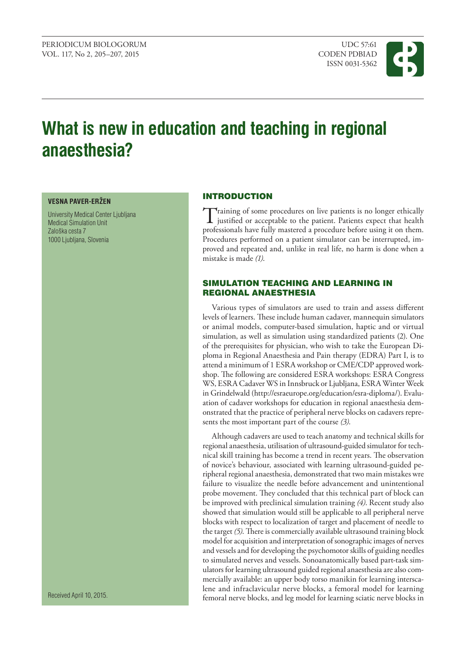PERIODICUM BIOLOGORUM UDC 57:61 VOL. 117, No 2, 205–207, 2015 CODEN PDBIAD

ISSN 0031-5362



# **What is new in education and teaching in regional anaesthesia?**

#### **VESNA PAVER-ERŽEN**

University Medical Center Ljubljana Medical Simulation Unit Zaloška cesta 7 1000 Ljubljana, Slovenia

**INTRODUCTION** 

Training of some procedures on live patients is no longer ethically<br>justified or acceptable to the patient. Patients expect that health<br>gas festivale have fully gas that he formula is not have professionals have fully mastered a procedure before using it on them. Procedures performed on a patient simulator can be interrupted, improved and repeated and, unlike in real life, no harm is done when a mistake is made *(1)*.

## Simulation teaching and learning in regional anaesthesia

Various types of simulators are used to train and assess different levels of learners. These include human cadaver, mannequin simulators or animal models, computer-based simulation, haptic and or virtual simulation, as well as simulation using standardized patients (2). One of the prerequisites for physician, who wish to take the European Diploma in Regional Anaesthesia and Pain therapy (EDRA) Part I, is to attend a minimum of 1 ESRA workshop or CME/CDP approved workshop. The following are considered ESRA workshops: ESRA Congress WS, ESRA Cadaver WS in Innsbruck or Ljubljana, ESRA Winter Week in Grindelwald [\(http://esraeurope.org/education/esra-diploma/](http://esraeurope.org/education/esra-diploma/)). Evaluation of cadaver workshops for education in regional anaesthesia demonstrated that the practice of peripheral nerve blocks on cadavers represents the most important part of the course *(3)*.

Although cadavers are used to teach anatomy and technical skills for regional anaesthesia, utilisation of ultrasound-guided simulator for technical skill training has become a trend in recent years. The observation of novice's behaviour, associated with learning ultrasound-guided peripheral regional anaesthesia, demonstrated that two main mistakes wre failure to visualize the needle before advancement and unintentional probe movement. They concluded that this technical part of block can be improved with preclinical simulation training *(4)*. Recent study also showed that simulation would still be applicable to all peripheral nerve blocks with respect to localization of target and placement of needle to the target *(5)*. There is commercially available ultrasound training block model for acquisition and interpretation of sonographic images of nerves and vessels and for developing the psychomotor skills of guiding needles to simulated nerves and vessels. Sonoanatomically based part-task simulators for learning ultrasound guided regional anaesthesia are also commercially available: an upper body torso manikin for learning interscalene and infraclavicular nerve blocks, a femoral model for learning femoral nerve blocks, and leg model for learning sciatic nerve blocks in

Received April 10, 2015.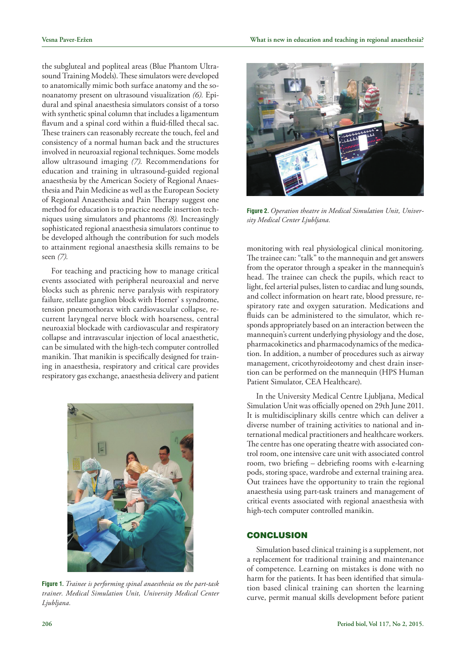the subgluteal and popliteal areas (Blue Phantom Ultrasound Training Models). These simulators were developed to anatomically mimic both surface anatomy and the sonoanatomy present on ultrasound visualization *(6).* Epidural and spinal anaesthesia simulators consist of a torso with synthetic spinal column that includes a ligamentum flavum and a spinal cord within a fluid-filled thecal sac. These trainers can reasonably recreate the touch, feel and consistency of a normal human back and the structures involved in neuroaxial regional techniques. Some models allow ultrasound imaging *(7).* Recommendations for education and training in ultrasound-guided regional anaesthesia by the American Society of Regional Anaesthesia and Pain Medicine as well as the European Society of Regional Anaesthesia and Pain Therapy suggest one method for education is to practice needle insertion techniques using simulators and phantoms *(8).* Increasingly sophisticated regional anaesthesia simulators continue to be developed although the contribution for such models to attainment regional anaesthesia skills remains to be seen *(7).*

For teaching and practicing how to manage critical events associated with peripheral neuroaxial and nerve blocks such as phrenic nerve paralysis with respiratory failure, stellate ganglion block with Horner' s syndrome, tension pneumothorax with cardiovascular collapse, recurrent laryngeal nerve block with hoarseness, central neuroaxial blockade with cardiovascular and respiratory collapse and intravascular injection of local anaesthetic, can be simulated with the high-tech computer controlled manikin. That manikin is specifically designed for training in anaesthesia, respiratory and critical care provides respiratory gas exchange, anaesthesia delivery and patient



**Figure 1.** *Trainee is performing spinal anaesthesia on the part-task trainer. Medical Simulation Unit, University Medical Center Ljubljana.*



**Figure 2.** *Operation theatre in Medical Simulation Unit, University Medical Center Ljubljana.*

monitoring with real physiological clinical monitoring. The trainee can: "talk" to the mannequin and get answers from the operator through a speaker in the mannequin's head. The trainee can check the pupils, which react to light, feel arterial pulses, listen to cardiac and lung sounds, and collect information on heart rate, blood pressure, respiratory rate and oxygen saturation. Medications and fluids can be administered to the simulator, which responds appropriately based on an interaction between the mannequin's current underlying physiology and the dose, pharmacokinetics and pharmacodynamics of the medication. In addition, a number of procedures such as airway management, cricothyroideotomy and chest drain insertion can be performed on the mannequin (HPS Human Patient Simulator, CEA Healthcare).

In the University Medical Centre Ljubljana, Medical Simulation Unit was officially opened on 29th June 2011. It is multidisciplinary skills centre which can deliver a diverse number of training activities to national and international medical practitioners and healthcare workers. The centre has one operating theatre with associated control room, one intensive care unit with associated control room, two briefing – debriefing rooms with e-learning pods, storing space, wardrobe and external training area. Out trainees have the opportunity to train the regional anaesthesia using part-task trainers and management of critical events associated with regional anaesthesia with high-tech computer controlled manikin.

## **CONCLUSION**

Simulation based clinical training is a supplement, not a replacement for traditional training and maintenance of competence. Learning on mistakes is done with no harm for the patients. It has been identified that simulation based clinical training can shorten the learning curve, permit manual skills development before patient